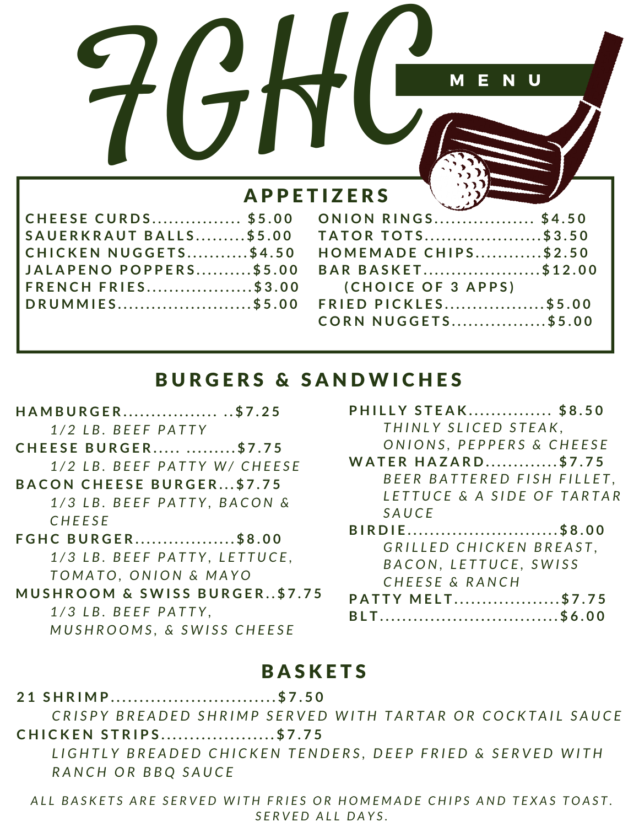|                 |                   | M<br>- E           | $\overline{\phantom{a}}$ N $\overline{\phantom{a}}$ U |  |
|-----------------|-------------------|--------------------|-------------------------------------------------------|--|
|                 | <b>APPETIZERS</b> |                    |                                                       |  |
| <b>SE CURDS</b> |                   | \$5.00 ONION RINGS | \$4.50                                                |  |
|                 |                   |                    |                                                       |  |

| <b>CHEESE CURDS \$5.00</b>   | <b>O</b>       |
|------------------------------|----------------|
| SAUERKRAUT BALLS\$5.00       | $T_{\ell}$     |
| <b>CHICKEN NUGGETS\$4.50</b> | H <sup>o</sup> |
| JALAPENO POPPERS\$5.00       | $\overline{B}$ |
| <b>FRENCH FRIES\$3.00</b>    |                |
| DRUMMIES\$5.00 FR            |                |
|                              | $\mathcal{C}$  |

| <b>ONION RINGS \$4.50</b>   |  |
|-----------------------------|--|
| <b>TATOR TOTS\$3.50</b>     |  |
| <b>HOMEMADE CHIPS\$2.50</b> |  |
| BAR BASKET\$12.00           |  |
| (CHOICE OF 3 APPS)          |  |
| <b>FRIED PICKLES\$5.00</b>  |  |
| <b>CORN NUGGETS\$5.00</b>   |  |
|                             |  |

# **BURGERS & SANDWICHES**

| HAMBURGER \$7.25                         |
|------------------------------------------|
| 1/2 LB. BEEF PATTY                       |
| <b>CHEESE BURGER \$7.75</b>              |
| 1/2 LB. BEEF PATTY W/ CHEESE             |
| <b>BACON CHEESE BURGER\$7.75</b>         |
| 1/3 LB. BEEF PATTY, BACON &              |
| CHEESE                                   |
| <b>FGHC BURGER\$8.00</b>                 |
| 1/3 LB. BEEF PATTY, LETTUCE,             |
| TOMATO, ONION & MAYO                     |
| <b>MUSHROOM &amp; SWISS BURGER\$7.75</b> |
| 1/3 LB. BEEF PATTY,                      |

*MUSHROOMS, & SWISS CHEESE* 

| <b>PHILLY STEAK \$8.50</b> |  |
|----------------------------|--|
| THINLY SLICED STEAK,       |  |
| ONIONS, PEPPERS & CHEESE   |  |

- **WATER HAZARD............\$7.75** *B E E R B A T T E R E D F I S H F I L L E T , L E T T U C E & A S I D E O F T A R T A R S A U C E*
- BIRDIE...........................\$8.00 *G R I L L E D C H I C K E N B R E A S T , B A C O N , L E T T U C E , S W I S S C H E E S E & R A N C H*

| <b>PATTY MELT\$7.75</b> |  |
|-------------------------|--|
| BLT\$6.00               |  |

# **BASKETS**

21 SHRIMP............................\$7.50

CRISPY BREADED SHRIMP SERVED WITH TARTAR OR COCKTAIL SAUCE **CHICKEN STRIPS....................\$7.75** 

LIGHTLY BREADED CHICKEN TENDERS, DEEP FRIED & SERVED WITH *R A N C H O R B B Q S A U C E*

ALL BASKETS ARE SERVED WITH FRIES OR HOMEMADE CHIPS AND TEXAS TOAST. *S E R V E D A L L D A Y S .*